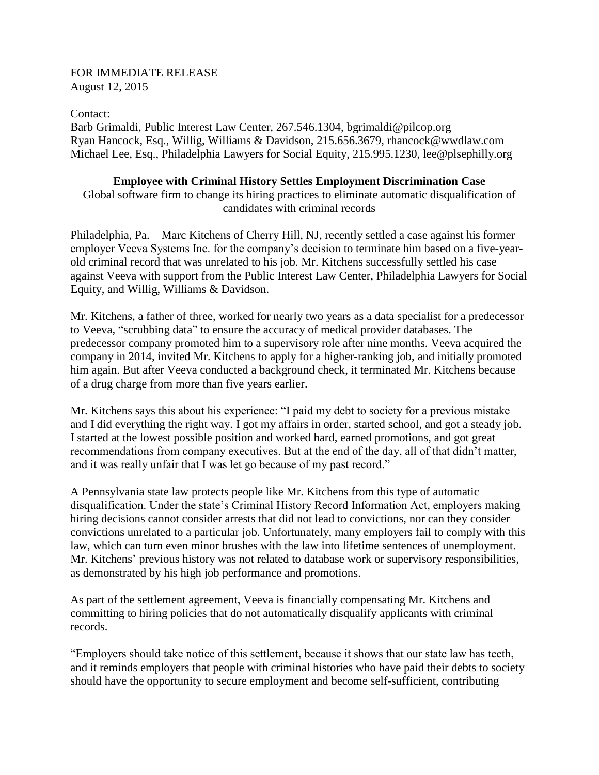### FOR IMMEDIATE RELEASE August 12, 2015

Contact:

Barb Grimaldi, Public Interest Law Center, 267.546.1304, bgrimaldi@pilcop.org Ryan Hancock, Esq., Willig, Williams & Davidson, 215.656.3679, rhancock@wwdlaw.com Michael Lee, Esq., Philadelphia Lawyers for Social Equity, 215.995.1230, lee@plsephilly.org

# **Employee with Criminal History Settles Employment Discrimination Case**

Global software firm to change its hiring practices to eliminate automatic disqualification of candidates with criminal records

Philadelphia, Pa. – Marc Kitchens of Cherry Hill, NJ, recently settled a case against his former employer Veeva Systems Inc. for the company's decision to terminate him based on a five-yearold criminal record that was unrelated to his job. Mr. Kitchens successfully settled his case against Veeva with support from the Public Interest Law Center, Philadelphia Lawyers for Social Equity, and Willig, Williams & Davidson.

Mr. Kitchens, a father of three, worked for nearly two years as a data specialist for a predecessor to Veeva, "scrubbing data" to ensure the accuracy of medical provider databases. The predecessor company promoted him to a supervisory role after nine months. Veeva acquired the company in 2014, invited Mr. Kitchens to apply for a higher-ranking job, and initially promoted him again. But after Veeva conducted a background check, it terminated Mr. Kitchens because of a drug charge from more than five years earlier.

Mr. Kitchens says this about his experience: "I paid my debt to society for a previous mistake and I did everything the right way. I got my affairs in order, started school, and got a steady job. I started at the lowest possible position and worked hard, earned promotions, and got great recommendations from company executives. But at the end of the day, all of that didn't matter, and it was really unfair that I was let go because of my past record."

A Pennsylvania state law protects people like Mr. Kitchens from this type of automatic disqualification. Under the state's Criminal History Record Information Act, employers making hiring decisions cannot consider arrests that did not lead to convictions, nor can they consider convictions unrelated to a particular job. Unfortunately, many employers fail to comply with this law, which can turn even minor brushes with the law into lifetime sentences of unemployment. Mr. Kitchens' previous history was not related to database work or supervisory responsibilities, as demonstrated by his high job performance and promotions.

As part of the settlement agreement, Veeva is financially compensating Mr. Kitchens and committing to hiring policies that do not automatically disqualify applicants with criminal records.

"Employers should take notice of this settlement, because it shows that our state law has teeth, and it reminds employers that people with criminal histories who have paid their debts to society should have the opportunity to secure employment and become self-sufficient, contributing